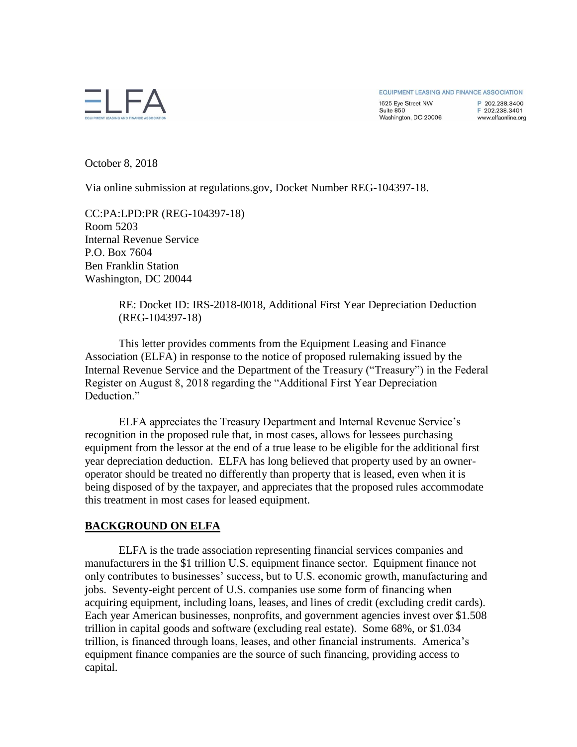EQUIPMENT LEASING AND FINANCE ASSOCIATION

1625 Eye Street NW Suite 850 Washington, DC 20006 P 202 238 3400 F 202.238.3401 www.elfaonline.org

October 8, 2018

Via online submission at regulations.gov, Docket Number REG-104397-18.

CC:PA:LPD:PR (REG-104397-18) Room 5203 Internal Revenue Service P.O. Box 7604 Ben Franklin Station Washington, DC 20044

> RE: Docket ID: IRS-2018-0018, Additional First Year Depreciation Deduction (REG-104397-18)

This letter provides comments from the Equipment Leasing and Finance Association (ELFA) in response to the notice of proposed rulemaking issued by the Internal Revenue Service and the Department of the Treasury ("Treasury") in the Federal Register on August 8, 2018 regarding the "Additional First Year Depreciation Deduction<sup>"</sup>

ELFA appreciates the Treasury Department and Internal Revenue Service's recognition in the proposed rule that, in most cases, allows for lessees purchasing equipment from the lessor at the end of a true lease to be eligible for the additional first year depreciation deduction. ELFA has long believed that property used by an owneroperator should be treated no differently than property that is leased, even when it is being disposed of by the taxpayer, and appreciates that the proposed rules accommodate this treatment in most cases for leased equipment.

## **BACKGROUND ON ELFA**

ELFA is the trade association representing financial services companies and manufacturers in the \$1 trillion U.S. equipment finance sector. Equipment finance not only contributes to businesses' success, but to U.S. economic growth, manufacturing and jobs. Seventy-eight percent of U.S. companies use some form of financing when acquiring equipment, including loans, leases, and lines of credit (excluding credit cards). Each year American businesses, nonprofits, and government agencies invest over \$1.508 trillion in capital goods and software (excluding real estate). Some 68%, or \$1.034 trillion, is financed through loans, leases, and other financial instruments. America's equipment finance companies are the source of such financing, providing access to capital.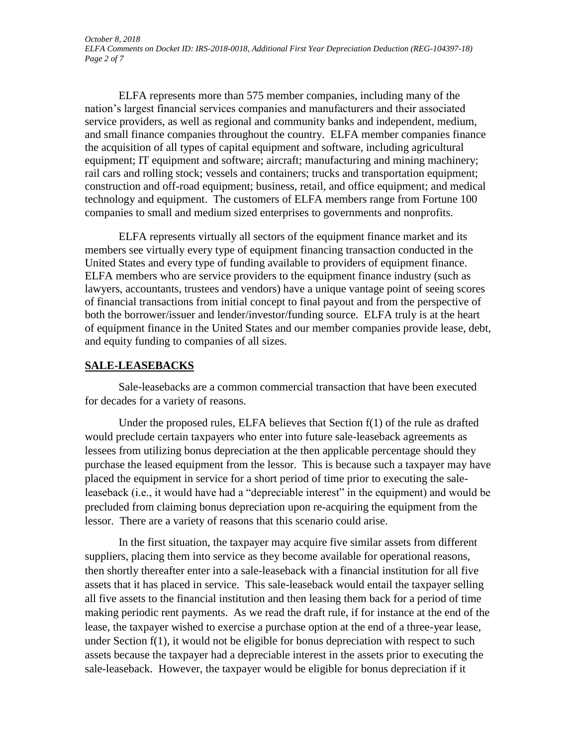ELFA represents more than 575 member companies, including many of the nation's largest financial services companies and manufacturers and their associated service providers, as well as regional and community banks and independent, medium, and small finance companies throughout the country. ELFA member companies finance the acquisition of all types of capital equipment and software, including agricultural equipment; IT equipment and software; aircraft; manufacturing and mining machinery; rail cars and rolling stock; vessels and containers; trucks and transportation equipment; construction and off-road equipment; business, retail, and office equipment; and medical technology and equipment. The customers of ELFA members range from Fortune 100 companies to small and medium sized enterprises to governments and nonprofits.

ELFA represents virtually all sectors of the equipment finance market and its members see virtually every type of equipment financing transaction conducted in the United States and every type of funding available to providers of equipment finance. ELFA members who are service providers to the equipment finance industry (such as lawyers, accountants, trustees and vendors) have a unique vantage point of seeing scores of financial transactions from initial concept to final payout and from the perspective of both the borrower/issuer and lender/investor/funding source. ELFA truly is at the heart of equipment finance in the United States and our member companies provide lease, debt, and equity funding to companies of all sizes.

## **SALE-LEASEBACKS**

Sale-leasebacks are a common commercial transaction that have been executed for decades for a variety of reasons.

Under the proposed rules, ELFA believes that Section f(1) of the rule as drafted would preclude certain taxpayers who enter into future sale-leaseback agreements as lessees from utilizing bonus depreciation at the then applicable percentage should they purchase the leased equipment from the lessor. This is because such a taxpayer may have placed the equipment in service for a short period of time prior to executing the saleleaseback (i.e., it would have had a "depreciable interest" in the equipment) and would be precluded from claiming bonus depreciation upon re-acquiring the equipment from the lessor. There are a variety of reasons that this scenario could arise.

In the first situation, the taxpayer may acquire five similar assets from different suppliers, placing them into service as they become available for operational reasons, then shortly thereafter enter into a sale-leaseback with a financial institution for all five assets that it has placed in service. This sale-leaseback would entail the taxpayer selling all five assets to the financial institution and then leasing them back for a period of time making periodic rent payments. As we read the draft rule, if for instance at the end of the lease, the taxpayer wished to exercise a purchase option at the end of a three-year lease, under Section f(1), it would not be eligible for bonus depreciation with respect to such assets because the taxpayer had a depreciable interest in the assets prior to executing the sale-leaseback. However, the taxpayer would be eligible for bonus depreciation if it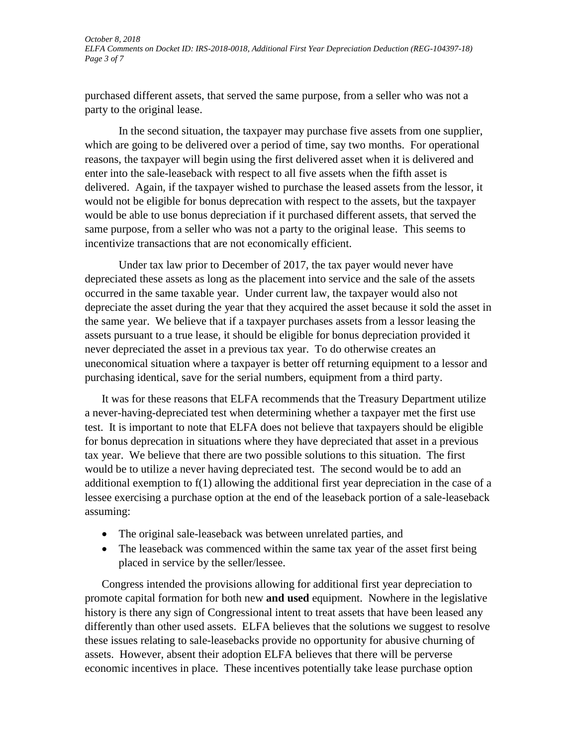purchased different assets, that served the same purpose, from a seller who was not a party to the original lease.

In the second situation, the taxpayer may purchase five assets from one supplier, which are going to be delivered over a period of time, say two months. For operational reasons, the taxpayer will begin using the first delivered asset when it is delivered and enter into the sale-leaseback with respect to all five assets when the fifth asset is delivered. Again, if the taxpayer wished to purchase the leased assets from the lessor, it would not be eligible for bonus deprecation with respect to the assets, but the taxpayer would be able to use bonus depreciation if it purchased different assets, that served the same purpose, from a seller who was not a party to the original lease. This seems to incentivize transactions that are not economically efficient.

Under tax law prior to December of 2017, the tax payer would never have depreciated these assets as long as the placement into service and the sale of the assets occurred in the same taxable year. Under current law, the taxpayer would also not depreciate the asset during the year that they acquired the asset because it sold the asset in the same year. We believe that if a taxpayer purchases assets from a lessor leasing the assets pursuant to a true lease, it should be eligible for bonus depreciation provided it never depreciated the asset in a previous tax year. To do otherwise creates an uneconomical situation where a taxpayer is better off returning equipment to a lessor and purchasing identical, save for the serial numbers, equipment from a third party.

It was for these reasons that ELFA recommends that the Treasury Department utilize a never-having-depreciated test when determining whether a taxpayer met the first use test. It is important to note that ELFA does not believe that taxpayers should be eligible for bonus deprecation in situations where they have depreciated that asset in a previous tax year. We believe that there are two possible solutions to this situation. The first would be to utilize a never having depreciated test. The second would be to add an additional exemption to f(1) allowing the additional first year depreciation in the case of a lessee exercising a purchase option at the end of the leaseback portion of a sale-leaseback assuming:

- The original sale-leaseback was between unrelated parties, and
- The leaseback was commenced within the same tax year of the asset first being placed in service by the seller/lessee.

Congress intended the provisions allowing for additional first year depreciation to promote capital formation for both new **and used** equipment. Nowhere in the legislative history is there any sign of Congressional intent to treat assets that have been leased any differently than other used assets. ELFA believes that the solutions we suggest to resolve these issues relating to sale-leasebacks provide no opportunity for abusive churning of assets. However, absent their adoption ELFA believes that there will be perverse economic incentives in place. These incentives potentially take lease purchase option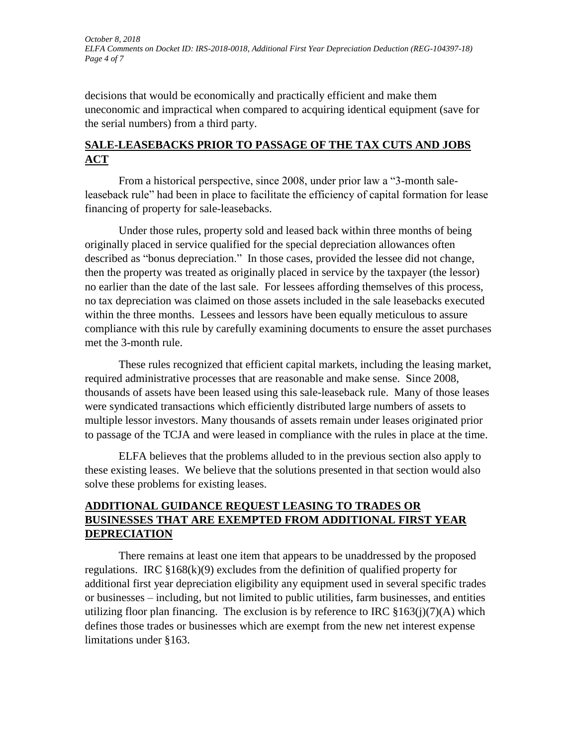*October 8, 2018 ELFA Comments on Docket ID: IRS-2018-0018, Additional First Year Depreciation Deduction (REG-104397-18) Page 4 of 7*

decisions that would be economically and practically efficient and make them uneconomic and impractical when compared to acquiring identical equipment (save for the serial numbers) from a third party.

## **SALE-LEASEBACKS PRIOR TO PASSAGE OF THE TAX CUTS AND JOBS ACT**

From a historical perspective, since 2008, under prior law a "3-month saleleaseback rule" had been in place to facilitate the efficiency of capital formation for lease financing of property for sale-leasebacks.

Under those rules, property sold and leased back within three months of being originally placed in service qualified for the special depreciation allowances often described as "bonus depreciation." In those cases, provided the lessee did not change, then the property was treated as originally placed in service by the taxpayer (the lessor) no earlier than the date of the last sale. For lessees affording themselves of this process, no tax depreciation was claimed on those assets included in the sale leasebacks executed within the three months. Lessees and lessors have been equally meticulous to assure compliance with this rule by carefully examining documents to ensure the asset purchases met the 3-month rule.

These rules recognized that efficient capital markets, including the leasing market, required administrative processes that are reasonable and make sense. Since 2008, thousands of assets have been leased using this sale-leaseback rule. Many of those leases were syndicated transactions which efficiently distributed large numbers of assets to multiple lessor investors. Many thousands of assets remain under leases originated prior to passage of the TCJA and were leased in compliance with the rules in place at the time.

ELFA believes that the problems alluded to in the previous section also apply to these existing leases. We believe that the solutions presented in that section would also solve these problems for existing leases.

# **ADDITIONAL GUIDANCE REQUEST LEASING TO TRADES OR BUSINESSES THAT ARE EXEMPTED FROM ADDITIONAL FIRST YEAR DEPRECIATION**

There remains at least one item that appears to be unaddressed by the proposed regulations. IRC  $\S168(k)(9)$  excludes from the definition of qualified property for additional first year depreciation eligibility any equipment used in several specific trades or businesses – including, but not limited to public utilities, farm businesses, and entities utilizing floor plan financing. The exclusion is by reference to IRC  $\S163(i)(7)(A)$  which defines those trades or businesses which are exempt from the new net interest expense limitations under §163.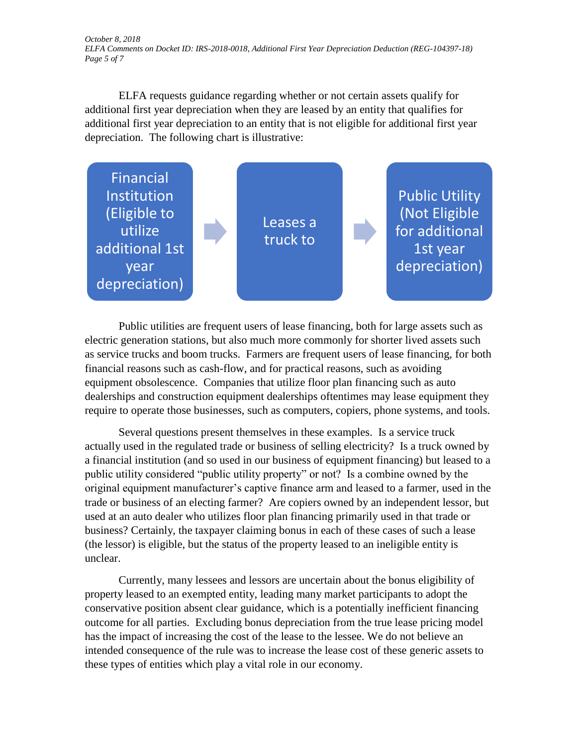*October 8, 2018 ELFA Comments on Docket ID: IRS-2018-0018, Additional First Year Depreciation Deduction (REG-104397-18) Page 5 of 7*

ELFA requests guidance regarding whether or not certain assets qualify for additional first year depreciation when they are leased by an entity that qualifies for additional first year depreciation to an entity that is not eligible for additional first year depreciation. The following chart is illustrative:



Public utilities are frequent users of lease financing, both for large assets such as electric generation stations, but also much more commonly for shorter lived assets such as service trucks and boom trucks. Farmers are frequent users of lease financing, for both financial reasons such as cash-flow, and for practical reasons, such as avoiding equipment obsolescence. Companies that utilize floor plan financing such as auto dealerships and construction equipment dealerships oftentimes may lease equipment they require to operate those businesses, such as computers, copiers, phone systems, and tools.

Several questions present themselves in these examples. Is a service truck actually used in the regulated trade or business of selling electricity? Is a truck owned by a financial institution (and so used in our business of equipment financing) but leased to a public utility considered "public utility property" or not? Is a combine owned by the original equipment manufacturer's captive finance arm and leased to a farmer, used in the trade or business of an electing farmer? Are copiers owned by an independent lessor, but used at an auto dealer who utilizes floor plan financing primarily used in that trade or business? Certainly, the taxpayer claiming bonus in each of these cases of such a lease (the lessor) is eligible, but the status of the property leased to an ineligible entity is unclear.

Currently, many lessees and lessors are uncertain about the bonus eligibility of property leased to an exempted entity, leading many market participants to adopt the conservative position absent clear guidance, which is a potentially inefficient financing outcome for all parties. Excluding bonus depreciation from the true lease pricing model has the impact of increasing the cost of the lease to the lessee. We do not believe an intended consequence of the rule was to increase the lease cost of these generic assets to these types of entities which play a vital role in our economy.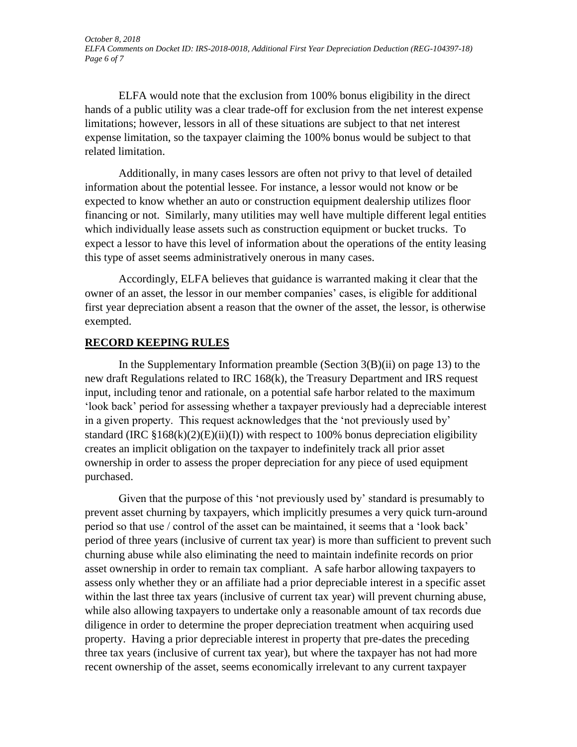ELFA would note that the exclusion from 100% bonus eligibility in the direct hands of a public utility was a clear trade-off for exclusion from the net interest expense limitations; however, lessors in all of these situations are subject to that net interest expense limitation, so the taxpayer claiming the 100% bonus would be subject to that related limitation.

Additionally, in many cases lessors are often not privy to that level of detailed information about the potential lessee. For instance, a lessor would not know or be expected to know whether an auto or construction equipment dealership utilizes floor financing or not. Similarly, many utilities may well have multiple different legal entities which individually lease assets such as construction equipment or bucket trucks. To expect a lessor to have this level of information about the operations of the entity leasing this type of asset seems administratively onerous in many cases.

Accordingly, ELFA believes that guidance is warranted making it clear that the owner of an asset, the lessor in our member companies' cases, is eligible for additional first year depreciation absent a reason that the owner of the asset, the lessor, is otherwise exempted.

#### **RECORD KEEPING RULES**

In the Supplementary Information preamble (Section 3(B)(ii) on page 13) to the new draft Regulations related to IRC 168(k), the Treasury Department and IRS request input, including tenor and rationale, on a potential safe harbor related to the maximum 'look back' period for assessing whether a taxpayer previously had a depreciable interest in a given property. This request acknowledges that the 'not previously used by' standard (IRC  $\S168(k)(2)(E)(ii)(I)$ ) with respect to 100% bonus depreciation eligibility creates an implicit obligation on the taxpayer to indefinitely track all prior asset ownership in order to assess the proper depreciation for any piece of used equipment purchased.

Given that the purpose of this 'not previously used by' standard is presumably to prevent asset churning by taxpayers, which implicitly presumes a very quick turn-around period so that use / control of the asset can be maintained, it seems that a 'look back' period of three years (inclusive of current tax year) is more than sufficient to prevent such churning abuse while also eliminating the need to maintain indefinite records on prior asset ownership in order to remain tax compliant. A safe harbor allowing taxpayers to assess only whether they or an affiliate had a prior depreciable interest in a specific asset within the last three tax years (inclusive of current tax year) will prevent churning abuse, while also allowing taxpayers to undertake only a reasonable amount of tax records due diligence in order to determine the proper depreciation treatment when acquiring used property. Having a prior depreciable interest in property that pre-dates the preceding three tax years (inclusive of current tax year), but where the taxpayer has not had more recent ownership of the asset, seems economically irrelevant to any current taxpayer